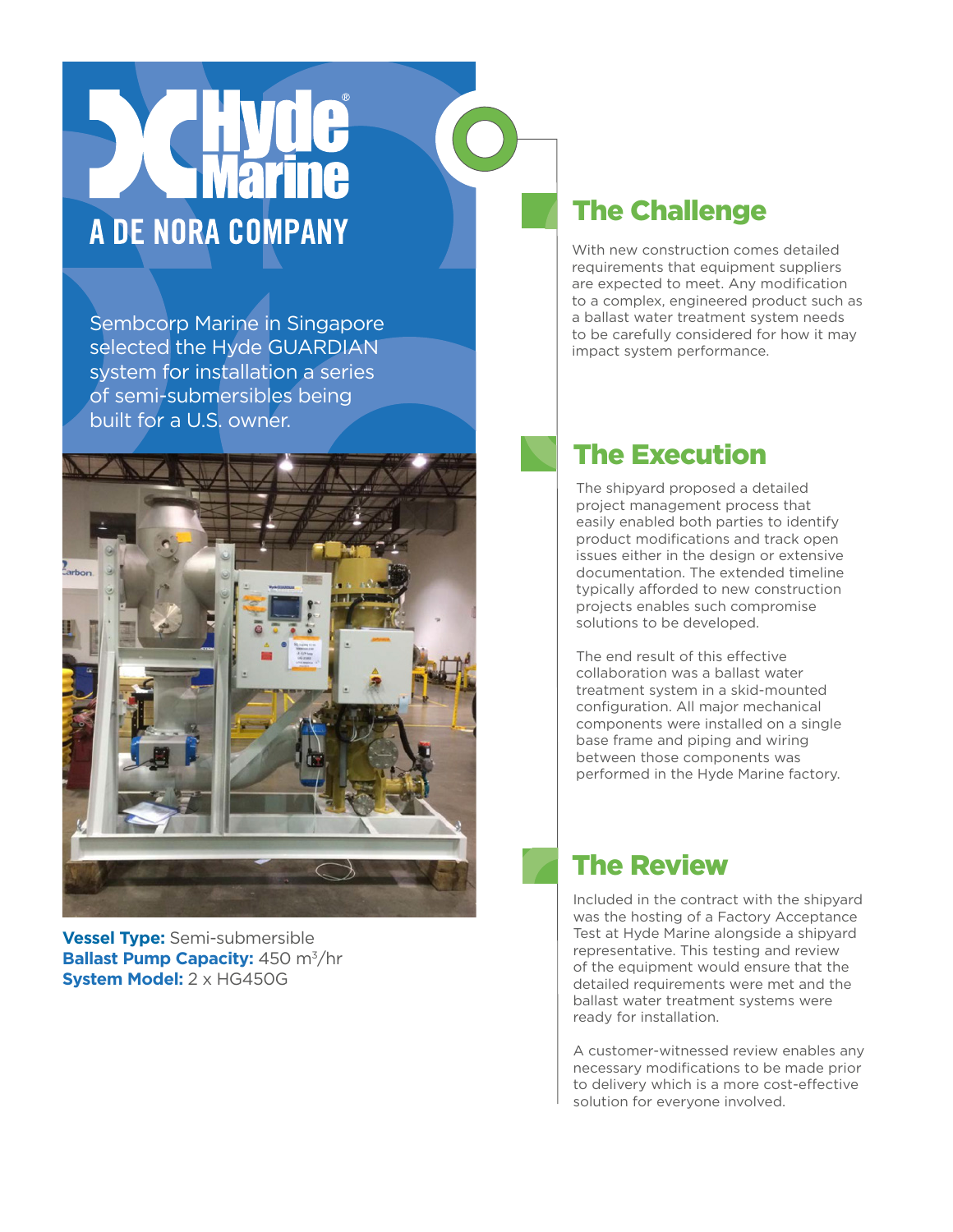## A DE NORA COMPANY

Sembcorp Marine in Singapore selected the Hyde GUARDIAN system for installation a series of semi-submersibles being built for a U.S. owner.



**Vessel Type:** Semi-submersible **Ballast Pump Capacity:** 450 m<sup>3</sup>/hr **System Model:** 2 x HG450G

## The Challenge

With new construction comes detailed requirements that equipment suppliers are expected to meet. Any modification to a complex, engineered product such as a ballast water treatment system needs to be carefully considered for how it may impact system performance.

## The Execution

The shipyard proposed a detailed project management process that easily enabled both parties to identify product modifications and track open issues either in the design or extensive documentation. The extended timeline typically afforded to new construction projects enables such compromise solutions to be developed.

The end result of this effective collaboration was a ballast water treatment system in a skid-mounted configuration. All major mechanical components were installed on a single base frame and piping and wiring between those components was performed in the Hyde Marine factory.

## The Review

Included in the contract with the shipyard was the hosting of a Factory Acceptance Test at Hyde Marine alongside a shipyard representative. This testing and review of the equipment would ensure that the detailed requirements were met and the ballast water treatment systems were ready for installation.

A customer-witnessed review enables any necessary modifications to be made prior to delivery which is a more cost-effective solution for everyone involved.